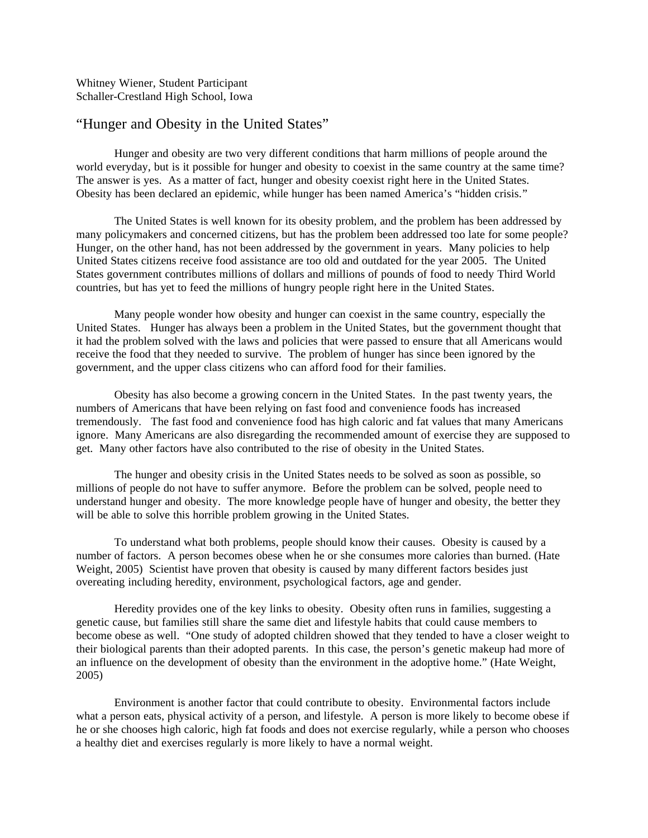Whitney Wiener, Student Participant Schaller-Crestland High School, Iowa

## "Hunger and Obesity in the United States"

Hunger and obesity are two very different conditions that harm millions of people around the world everyday, but is it possible for hunger and obesity to coexist in the same country at the same time? The answer is yes. As a matter of fact, hunger and obesity coexist right here in the United States. Obesity has been declared an epidemic, while hunger has been named America's "hidden crisis."

The United States is well known for its obesity problem, and the problem has been addressed by many policymakers and concerned citizens, but has the problem been addressed too late for some people? Hunger, on the other hand, has not been addressed by the government in years. Many policies to help United States citizens receive food assistance are too old and outdated for the year 2005. The United States government contributes millions of dollars and millions of pounds of food to needy Third World countries, but has yet to feed the millions of hungry people right here in the United States.

Many people wonder how obesity and hunger can coexist in the same country, especially the United States. Hunger has always been a problem in the United States, but the government thought that it had the problem solved with the laws and policies that were passed to ensure that all Americans would receive the food that they needed to survive. The problem of hunger has since been ignored by the government, and the upper class citizens who can afford food for their families.

Obesity has also become a growing concern in the United States. In the past twenty years, the numbers of Americans that have been relying on fast food and convenience foods has increased tremendously. The fast food and convenience food has high caloric and fat values that many Americans ignore. Many Americans are also disregarding the recommended amount of exercise they are supposed to get. Many other factors have also contributed to the rise of obesity in the United States.

The hunger and obesity crisis in the United States needs to be solved as soon as possible, so millions of people do not have to suffer anymore. Before the problem can be solved, people need to understand hunger and obesity. The more knowledge people have of hunger and obesity, the better they will be able to solve this horrible problem growing in the United States.

To understand what both problems, people should know their causes. Obesity is caused by a number of factors. A person becomes obese when he or she consumes more calories than burned. (Hate Weight, 2005) Scientist have proven that obesity is caused by many different factors besides just overeating including heredity, environment, psychological factors, age and gender.

Heredity provides one of the key links to obesity. Obesity often runs in families, suggesting a genetic cause, but families still share the same diet and lifestyle habits that could cause members to become obese as well. "One study of adopted children showed that they tended to have a closer weight to their biological parents than their adopted parents. In this case, the person's genetic makeup had more of an influence on the development of obesity than the environment in the adoptive home." (Hate Weight, 2005)

Environment is another factor that could contribute to obesity. Environmental factors include what a person eats, physical activity of a person, and lifestyle. A person is more likely to become obese if he or she chooses high caloric, high fat foods and does not exercise regularly, while a person who chooses a healthy diet and exercises regularly is more likely to have a normal weight.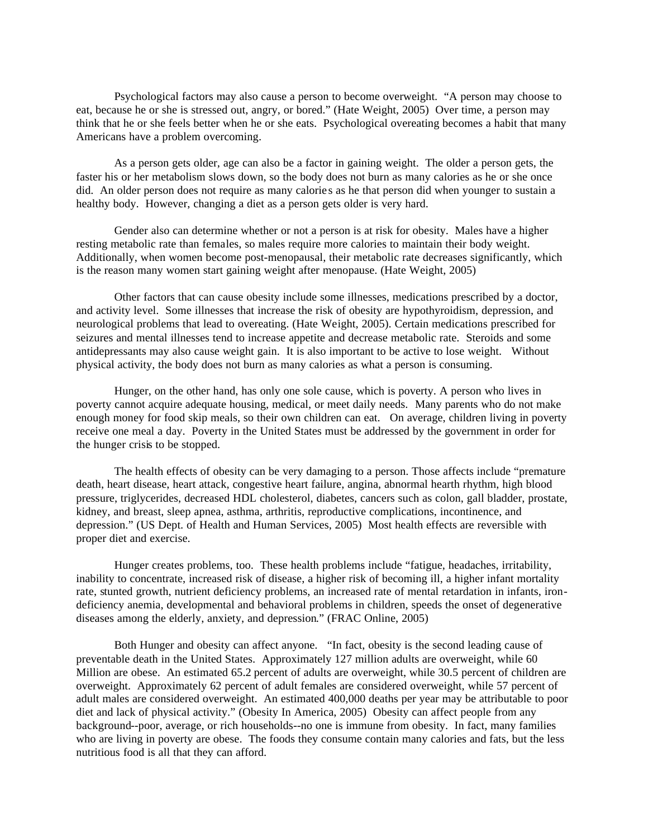Psychological factors may also cause a person to become overweight. "A person may choose to eat, because he or she is stressed out, angry, or bored." (Hate Weight, 2005) Over time, a person may think that he or she feels better when he or she eats. Psychological overeating becomes a habit that many Americans have a problem overcoming.

As a person gets older, age can also be a factor in gaining weight. The older a person gets, the faster his or her metabolism slows down, so the body does not burn as many calories as he or she once did. An older person does not require as many calories as he that person did when younger to sustain a healthy body. However, changing a diet as a person gets older is very hard.

Gender also can determine whether or not a person is at risk for obesity. Males have a higher resting metabolic rate than females, so males require more calories to maintain their body weight. Additionally, when women become post-menopausal, their metabolic rate decreases significantly, which is the reason many women start gaining weight after menopause. (Hate Weight, 2005)

Other factors that can cause obesity include some illnesses, medications prescribed by a doctor, and activity level. Some illnesses that increase the risk of obesity are hypothyroidism, depression, and neurological problems that lead to overeating. (Hate Weight, 2005). Certain medications prescribed for seizures and mental illnesses tend to increase appetite and decrease metabolic rate. Steroids and some antidepressants may also cause weight gain. It is also important to be active to lose weight. Without physical activity, the body does not burn as many calories as what a person is consuming.

Hunger, on the other hand, has only one sole cause, which is poverty. A person who lives in poverty cannot acquire adequate housing, medical, or meet daily needs. Many parents who do not make enough money for food skip meals, so their own children can eat. On average, children living in poverty receive one meal a day. Poverty in the United States must be addressed by the government in order for the hunger crisis to be stopped.

The health effects of obesity can be very damaging to a person. Those affects include "premature death, heart disease, heart attack, congestive heart failure, angina, abnormal hearth rhythm, high blood pressure, triglycerides, decreased HDL cholesterol, diabetes, cancers such as colon, gall bladder, prostate, kidney, and breast, sleep apnea, asthma, arthritis, reproductive complications, incontinence, and depression." (US Dept. of Health and Human Services, 2005) Most health effects are reversible with proper diet and exercise.

Hunger creates problems, too. These health problems include "fatigue, headaches, irritability, inability to concentrate, increased risk of disease, a higher risk of becoming ill, a higher infant mortality rate, stunted growth, nutrient deficiency problems, an increased rate of mental retardation in infants, irondeficiency anemia, developmental and behavioral problems in children, speeds the onset of degenerative diseases among the elderly, anxiety, and depression." (FRAC Online, 2005)

Both Hunger and obesity can affect anyone. "In fact, obesity is the second leading cause of preventable death in the United States. Approximately 127 million adults are overweight, while 60 Million are obese. An estimated 65.2 percent of adults are overweight, while 30.5 percent of children are overweight. Approximately 62 percent of adult females are considered overweight, while 57 percent of adult males are considered overweight. An estimated 400,000 deaths per year may be attributable to poor diet and lack of physical activity." (Obesity In America, 2005) Obesity can affect people from any background--poor, average, or rich households--no one is immune from obesity. In fact, many families who are living in poverty are obese. The foods they consume contain many calories and fats, but the less nutritious food is all that they can afford.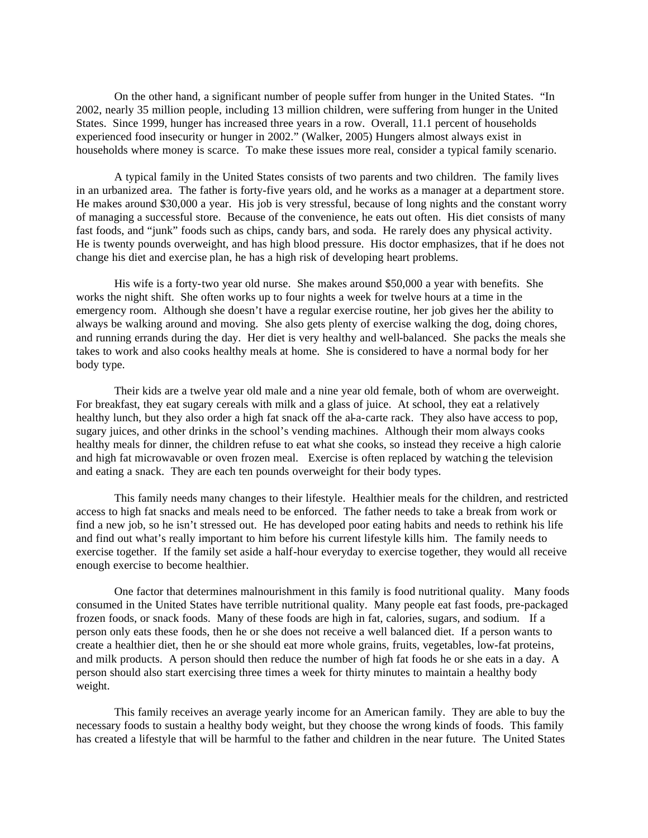On the other hand, a significant number of people suffer from hunger in the United States. "In 2002, nearly 35 million people, including 13 million children, were suffering from hunger in the United States. Since 1999, hunger has increased three years in a row. Overall, 11.1 percent of households experienced food insecurity or hunger in 2002." (Walker, 2005) Hungers almost always exist in households where money is scarce. To make these issues more real, consider a typical family scenario.

A typical family in the United States consists of two parents and two children. The family lives in an urbanized area. The father is forty-five years old, and he works as a manager at a department store. He makes around \$30,000 a year. His job is very stressful, because of long nights and the constant worry of managing a successful store. Because of the convenience, he eats out often. His diet consists of many fast foods, and "junk" foods such as chips, candy bars, and soda. He rarely does any physical activity. He is twenty pounds overweight, and has high blood pressure. His doctor emphasizes, that if he does not change his diet and exercise plan, he has a high risk of developing heart problems.

His wife is a forty-two year old nurse. She makes around \$50,000 a year with benefits. She works the night shift. She often works up to four nights a week for twelve hours at a time in the emergency room. Although she doesn't have a regular exercise routine, her job gives her the ability to always be walking around and moving. She also gets plenty of exercise walking the dog, doing chores, and running errands during the day. Her diet is very healthy and well-balanced. She packs the meals she takes to work and also cooks healthy meals at home. She is considered to have a normal body for her body type.

Their kids are a twelve year old male and a nine year old female, both of whom are overweight. For breakfast, they eat sugary cereals with milk and a glass of juice. At school, they eat a relatively healthy lunch, but they also order a high fat snack off the al-a-carte rack. They also have access to pop, sugary juices, and other drinks in the school's vending machines. Although their mom always cooks healthy meals for dinner, the children refuse to eat what she cooks, so instead they receive a high calorie and high fat microwavable or oven frozen meal. Exercise is often replaced by watching the television and eating a snack. They are each ten pounds overweight for their body types.

This family needs many changes to their lifestyle. Healthier meals for the children, and restricted access to high fat snacks and meals need to be enforced. The father needs to take a break from work or find a new job, so he isn't stressed out. He has developed poor eating habits and needs to rethink his life and find out what's really important to him before his current lifestyle kills him. The family needs to exercise together. If the family set aside a half-hour everyday to exercise together, they would all receive enough exercise to become healthier.

One factor that determines malnourishment in this family is food nutritional quality. Many foods consumed in the United States have terrible nutritional quality. Many people eat fast foods, pre-packaged frozen foods, or snack foods. Many of these foods are high in fat, calories, sugars, and sodium. If a person only eats these foods, then he or she does not receive a well balanced diet. If a person wants to create a healthier diet, then he or she should eat more whole grains, fruits, vegetables, low-fat proteins, and milk products. A person should then reduce the number of high fat foods he or she eats in a day. A person should also start exercising three times a week for thirty minutes to maintain a healthy body weight.

This family receives an average yearly income for an American family. They are able to buy the necessary foods to sustain a healthy body weight, but they choose the wrong kinds of foods. This family has created a lifestyle that will be harmful to the father and children in the near future. The United States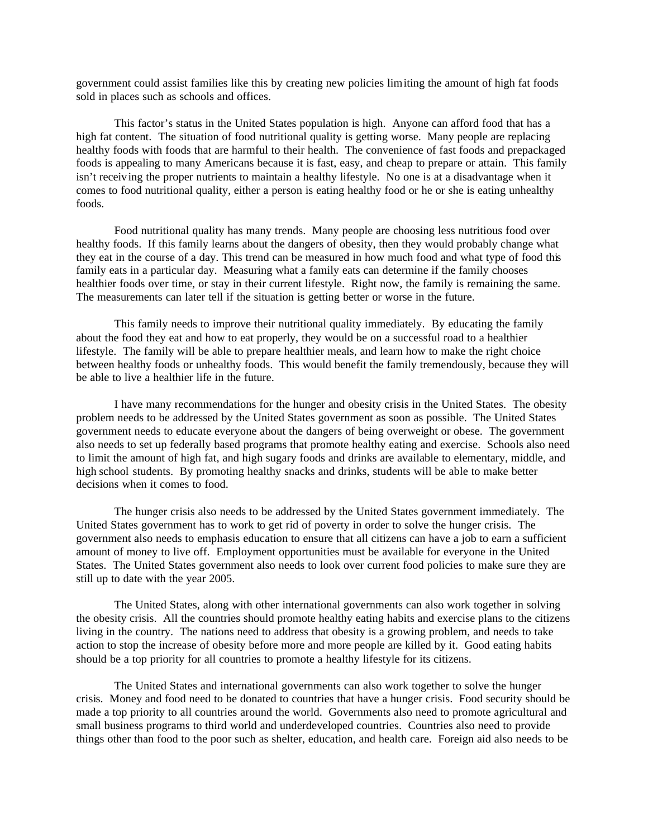government could assist families like this by creating new policies limiting the amount of high fat foods sold in places such as schools and offices.

This factor's status in the United States population is high. Anyone can afford food that has a high fat content. The situation of food nutritional quality is getting worse. Many people are replacing healthy foods with foods that are harmful to their health. The convenience of fast foods and prepackaged foods is appealing to many Americans because it is fast, easy, and cheap to prepare or attain. This family isn't receiving the proper nutrients to maintain a healthy lifestyle. No one is at a disadvantage when it comes to food nutritional quality, either a person is eating healthy food or he or she is eating unhealthy foods.

Food nutritional quality has many trends. Many people are choosing less nutritious food over healthy foods. If this family learns about the dangers of obesity, then they would probably change what they eat in the course of a day. This trend can be measured in how much food and what type of food this family eats in a particular day. Measuring what a family eats can determine if the family chooses healthier foods over time, or stay in their current lifestyle. Right now, the family is remaining the same. The measurements can later tell if the situation is getting better or worse in the future.

This family needs to improve their nutritional quality immediately. By educating the family about the food they eat and how to eat properly, they would be on a successful road to a healthier lifestyle. The family will be able to prepare healthier meals, and learn how to make the right choice between healthy foods or unhealthy foods. This would benefit the family tremendously, because they will be able to live a healthier life in the future.

I have many recommendations for the hunger and obesity crisis in the United States. The obesity problem needs to be addressed by the United States government as soon as possible. The United States government needs to educate everyone about the dangers of being overweight or obese. The government also needs to set up federally based programs that promote healthy eating and exercise. Schools also need to limit the amount of high fat, and high sugary foods and drinks are available to elementary, middle, and high school students. By promoting healthy snacks and drinks, students will be able to make better decisions when it comes to food.

The hunger crisis also needs to be addressed by the United States government immediately. The United States government has to work to get rid of poverty in order to solve the hunger crisis. The government also needs to emphasis education to ensure that all citizens can have a job to earn a sufficient amount of money to live off. Employment opportunities must be available for everyone in the United States. The United States government also needs to look over current food policies to make sure they are still up to date with the year 2005.

The United States, along with other international governments can also work together in solving the obesity crisis. All the countries should promote healthy eating habits and exercise plans to the citizens living in the country. The nations need to address that obesity is a growing problem, and needs to take action to stop the increase of obesity before more and more people are killed by it. Good eating habits should be a top priority for all countries to promote a healthy lifestyle for its citizens.

The United States and international governments can also work together to solve the hunger crisis. Money and food need to be donated to countries that have a hunger crisis. Food security should be made a top priority to all countries around the world. Governments also need to promote agricultural and small business programs to third world and underdeveloped countries. Countries also need to provide things other than food to the poor such as shelter, education, and health care. Foreign aid also needs to be